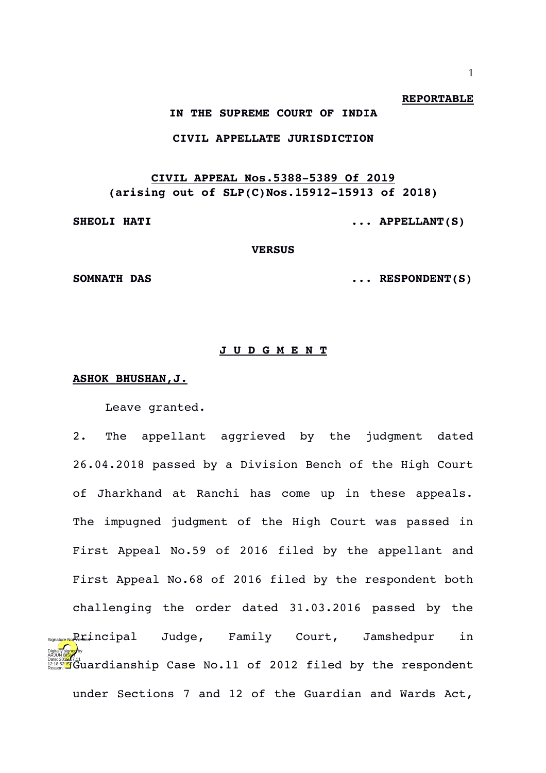#### **REPORTABLE**

### **IN THE SUPREME COURT OF INDIA**

## **CIVIL APPELLATE JURISDICTION**

# **CIVIL APPEAL Nos.5388-5389 Of 2019** (arising out of SLP(C)Nos.15912-15913 of 2018)

**SHEOLI HATI ... APPELLANT(S)** 

**VERSUS**

**SOMNATH DAS ... RESPONDENT(S)**

### **J U D G M E N T**

## **ASHOK BHUSHAN,J.**

Leave granted.

2. The appellant aggrieved by the judgment dated 26.04.2018 passed by a Division Bench of the High Court of Jharkhand at Ranchi has come up in these appeals. The impugned judgment of the High Court was passed in First Appeal No.59 of 2016 filed by the appellant and First Appeal No.68 of 2016 filed by the respondent both challenging the order dated 31.03.2016 passed by the Judge, Family Court, Jamshedpur in Date:20<mark>00</mark>7.11<br>Passon: **Signal C**uardianship Case No.11 of 2012 filed by the respondent under Sections 7 and 12 of the Guardian and Wards Act, Digitally signed by arjun B<mark>ish</mark>t Reason: <sub>sture Not</sub>P<sub>e</sub>rincipal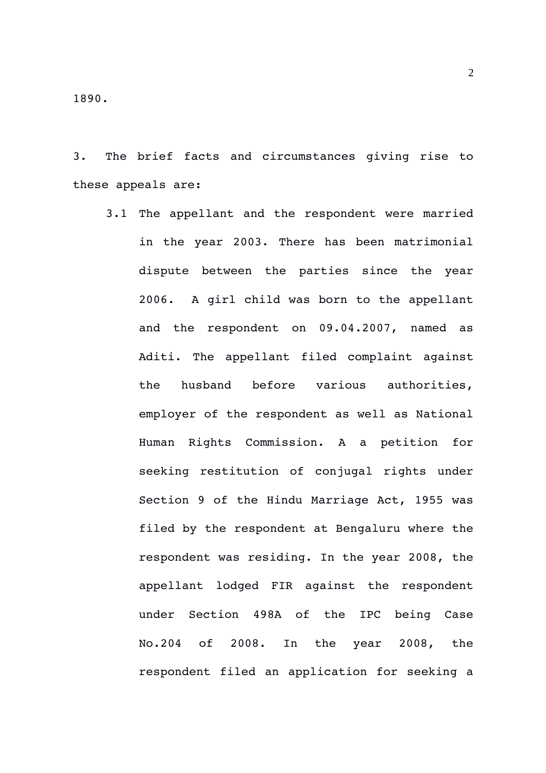3. The brief facts and circumstances giving rise to these appeals are:

3.1 The appellant and the respondent were married in the year 2003. There has been matrimonial dispute between the parties since the year 2006. A girl child was born to the appellant and the respondent on 09.04.2007, named as Aditi. The appellant filed complaint against the husband before various authorities, employer of the respondent as well as National Human Rights Commission. A a petition for seeking restitution of conjugal rights under Section 9 of the Hindu Marriage Act, 1955 was filed by the respondent at Bengaluru where the respondent was residing. In the year 2008, the appellant lodged FIR against the respondent under Section 498A of the IPC being Case No.204 of 2008. In the year 2008, the respondent filed an application for seeking a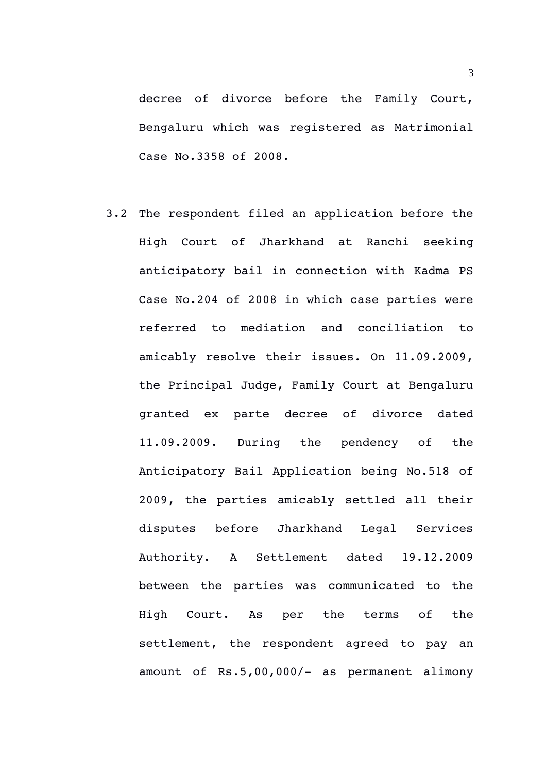decree of divorce before the Family Court, Bengaluru which was registered as Matrimonial Case No.3358 of 2008.

3.2 The respondent filed an application before the High Court of Jharkhand at Ranchi seeking anticipatory bail in connection with Kadma PS Case No.204 of 2008 in which case parties were referred to mediation and conciliation to amicably resolve their issues. On 11.09.2009, the Principal Judge, Family Court at Bengaluru granted ex parte decree of divorce dated 11.09.2009. During the pendency of the Anticipatory Bail Application being No.518 of 2009, the parties amicably settled all their disputes before Jharkhand Legal Services Authority. A Settlement dated 19.12.2009 between the parties was communicated to the High Court. As per the terms of the settlement, the respondent agreed to pay an amount of Rs.5,00,000/- as permanent alimony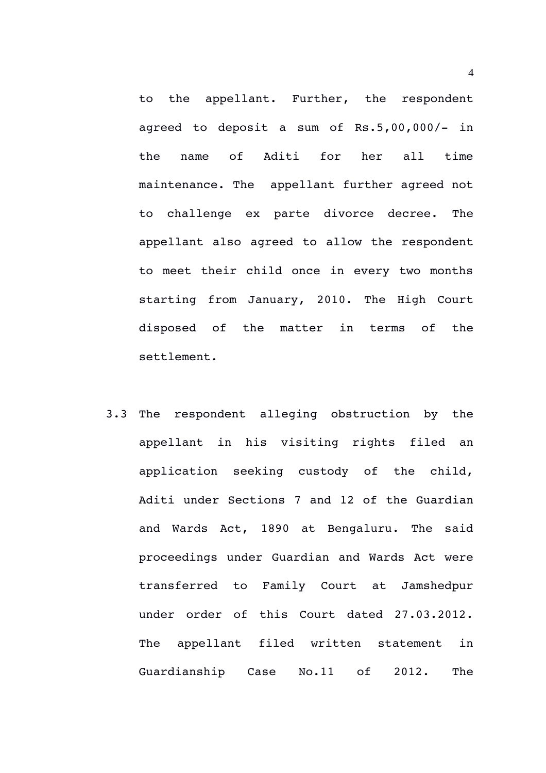to the appellant. Further, the respondent agreed to deposit a sum of  $Rs.5,00,000/-$  in the name of Aditi for her all time maintenance. The appellant further agreed not to challenge ex parte divorce decree. The appellant also agreed to allow the respondent to meet their child once in every two months starting from January, 2010. The High Court disposed of the matter in terms of the settlement.

3.3 The respondent alleging obstruction by the appellant in his visiting rights filed an application seeking custody of the child, Aditi under Sections 7 and 12 of the Guardian and Wards Act, 1890 at Bengaluru. The said proceedings under Guardian and Wards Act were transferred to Family Court at Jamshedpur under order of this Court dated 27.03.2012. The appellant filed written statement in Guardianship Case No.11 of 2012. The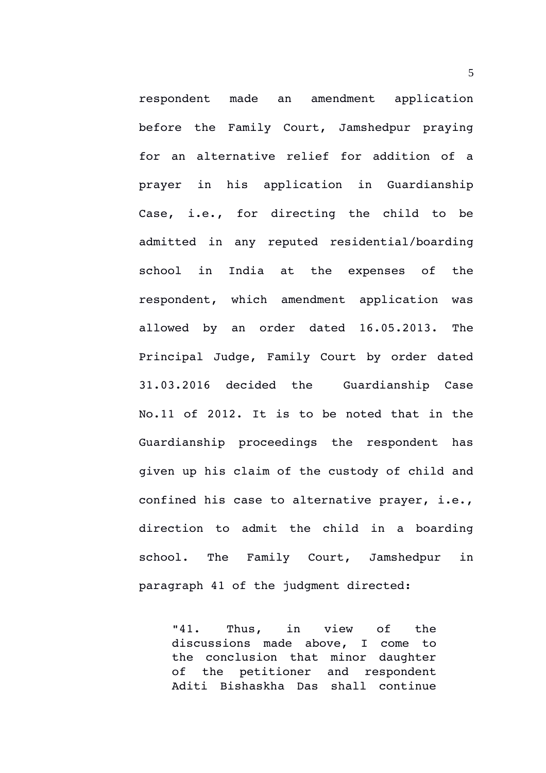respondent made an amendment application before the Family Court, Jamshedpur praying for an alternative relief for addition of a prayer in his application in Guardianship Case, i.e., for directing the child to be admitted in any reputed residential/boarding school in India at the expenses of the respondent, which amendment application was allowed by an order dated 16.05.2013. The Principal Judge, Family Court by order dated 31.03.2016 decided the Guardianship Case No.11 of 2012. It is to be noted that in the Guardianship proceedings the respondent has given up his claim of the custody of child and confined his case to alternative prayer, i.e., direction to admit the child in a boarding school. The Family Court, Jamshedpur in paragraph 41 of the judgment directed:

"41. Thus, in view of the discussions made above, I come to the conclusion that minor daughter of the petitioner and respondent Aditi Bishaskha Das shall continue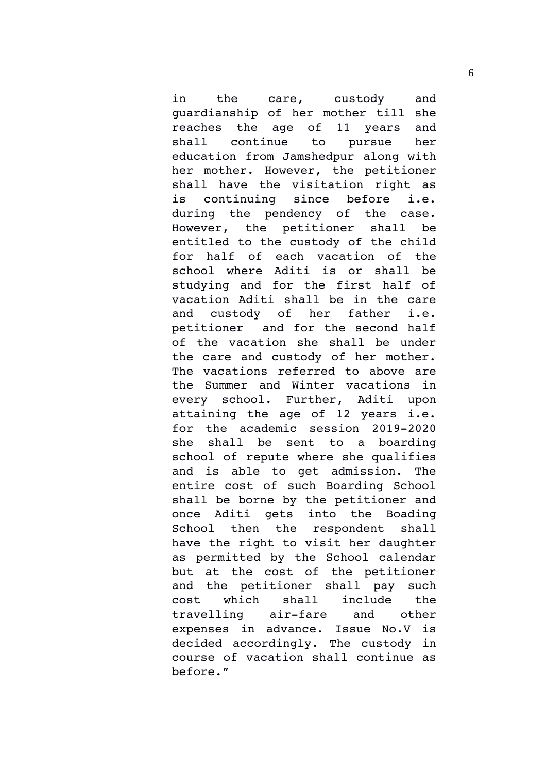in the care, custody and guardianship of her mother till she reaches the age of 11 years and shall continue to pursue her education from Jamshedpur along with her mother. However, the petitioner shall have the visitation right as is continuing since before i.e. during the pendency of the case. However, the petitioner shall be entitled to the custody of the child for half of each vacation of the school where Aditi is or shall be studying and for the first half of vacation Aditi shall be in the care and custody of her father i.e. petitioner and for the second half of the vacation she shall be under the care and custody of her mother. The vacations referred to above are the Summer and Winter vacations in every school. Further, Aditi upon attaining the age of 12 years i.e. for the  $academic$  session  $2019-2020$ she shall be sent to a boarding school of repute where she qualifies and is able to get admission. The entire cost of such Boarding School shall be borne by the petitioner and once Aditi qets into the Boading School then the respondent shall have the right to visit her daughter as permitted by the School calendar but at the cost of the petitioner and the petitioner shall pay such cost which shall include the travelling air-fare and other expenses in advance. Issue No.V is decided accordingly. The custody in course of vacation shall continue as before."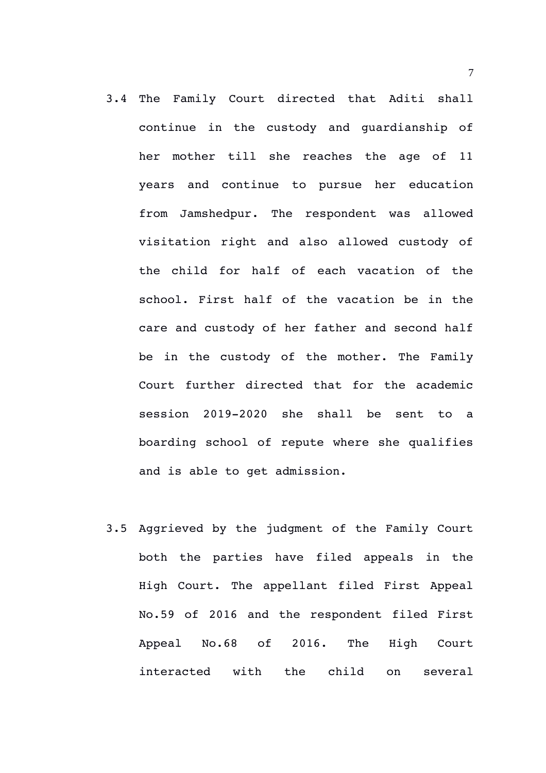- 3.4 The Family Court directed that Aditi shall continue in the custody and guardianship of her mother till she reaches the age of 11 years and continue to pursue her education from Jamshedpur. The respondent was allowed visitation right and also allowed custody of the child for half of each vacation of the school. First half of the vacation be in the care and custody of her father and second half be in the custody of the mother. The Family Court further directed that for the academic session 2019-2020 she shall be sent to a boarding school of repute where she qualifies and is able to get admission.
- 3.5 Aggrieved by the judgment of the Family Court both the parties have filed appeals in the High Court. The appellant filed First Appeal No.59 of 2016 and the respondent filed First Appeal No.68 of 2016. The High Court interacted with the child on several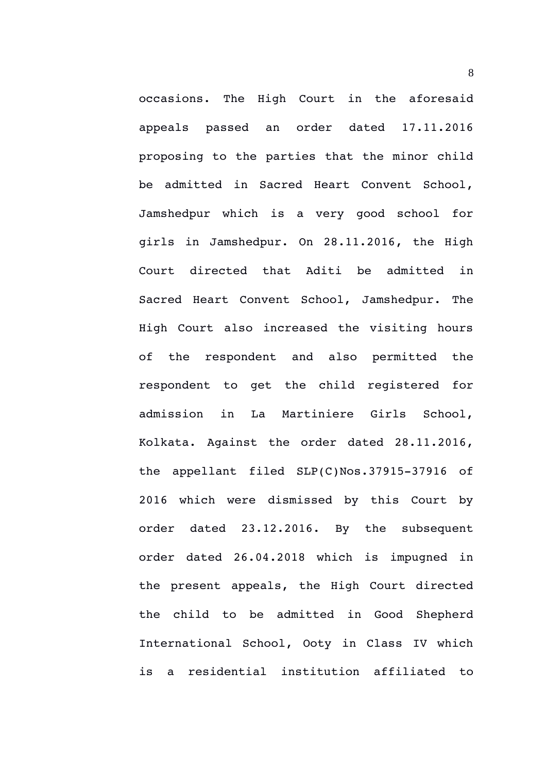occasions. The High Court in the aforesaid appeals passed an order dated 17.11.2016 proposing to the parties that the minor child be admitted in Sacred Heart Convent School, Jamshedpur which is a very qood school for girls in Jamshedpur. On 28.11.2016, the High Court directed that Aditi be admitted in Sacred Heart Convent School, Jamshedpur. The High Court also increased the visiting hours of the respondent and also permitted the respondent to get the child reqistered for admission in La Martiniere Girls School, Kolkata. Against the order dated 28.11.2016, the appellant filed  $SLP(C)$ Nos.37915-37916 of 2016 which were dismissed by this Court by order dated 23.12.2016. By the subsequent order dated 26.04.2018 which is impugned in the present appeals, the High Court directed the child to be admitted in Good Shepherd International School, Ooty in Class IV which is a residential institution affiliated to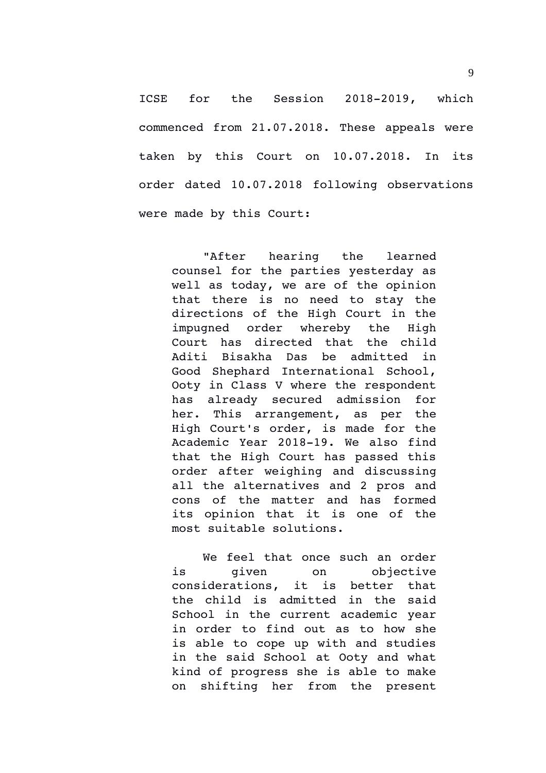ICSE for the Session 2018-2019, which commenced from 21.07.2018. These appeals were taken by this Court on 10.07.2018. In its order dated 10.07.2018 following observations were made by this Court:

"After hearing the learned counsel for the parties yesterday as well as today, we are of the opinion that there is no need to stay the directions of the High Court in the impugned order whereby the High Court has directed that the child Aditi Bisakha Das be admitted in Good Shephard International School, Ooty in Class V where the respondent has already secured admission for her. This arrangement, as per the High Court's order, is made for the Academic Year 2018-19. We also find that the High Court has passed this order after weighing and discussing all the alternatives and 2 pros and cons of the matter and has formed its opinion that it is one of the most suitable solutions.

We feel that once such an order is qiven on objective considerations, it is better that the child is admitted in the said School in the current academic year in order to find out as to how she is able to cope up with and studies in the said School at Ooty and what kind of progress she is able to make on shifting her from the present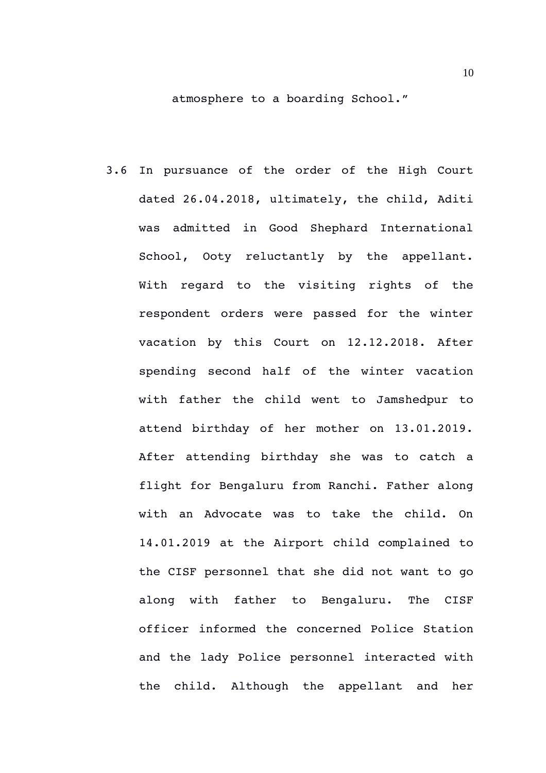atmosphere to a boarding School."

3.6 In pursuance of the order of the High Court dated 26.04.2018, ultimately, the child, Aditi was admitted in Good Shephard International School, Ooty reluctantly by the appellant. With regard to the visiting rights of the respondent orders were passed for the winter vacation by this Court on 12.12.2018. After spending second half of the winter vacation with father the child went to Jamshedpur to attend birthday of her mother on 13.01.2019. After attending birthday she was to catch a flight for Bengaluru from Ranchi. Father along with an Advocate was to take the child. On 14.01.2019 at the Airport child complained to the CISF personnel that she did not want to go along with father to Bengaluru. The CISF officer informed the concerned Police Station and the lady Police personnel interacted with the child. Although the appellant and her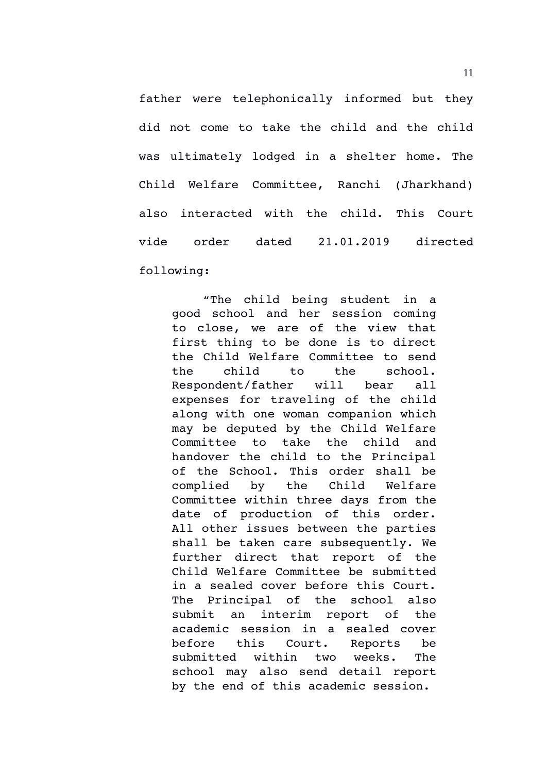father were telephonically informed but they did not come to take the child and the child was ultimately lodged in a shelter home. The Child Welfare Committee, Ranchi (Jharkhand) also interacted with the child. This Court vide order dated 21.01.2019 directed following:

"The child being student in a good school and her session coming to close, we are of the view that first thing to be done is to direct the Child Welfare Committee to send the child to the school. Respondent/father will bear all expenses for traveling of the child along with one woman companion which may be deputed by the Child Welfare Committee to take the child and handover the child to the Principal of the School. This order shall be complied by the Child Welfare Committee within three days from the date of production of this order. All other issues between the parties shall be taken care subsequently. We further direct that report of the Child Welfare Committee be submitted in a sealed cover before this Court. The Principal of the school also submit an interim report of the academic session in a sealed cover before this Court. Reports be submitted within two weeks. The school may also send detail report by the end of this academic session.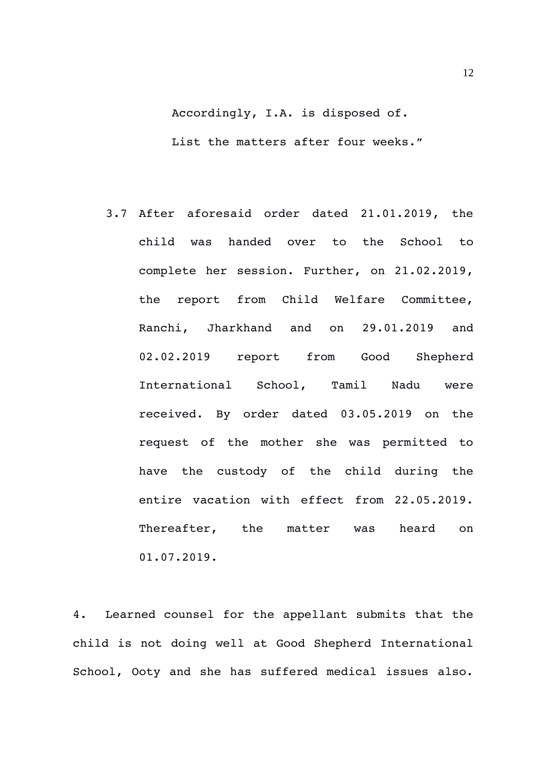Accordingly, I.A. is disposed of. List the matters after four weeks."

3.7 After aforesaid order dated 21.01.2019, the child was handed over to the School to complete her session. Further, on 21.02.2019, the report from Child Welfare Committee, Ranchi, Jharkhand and on 29.01.2019 and 02.02.2019 report from Good Shepherd International School, Tamil Nadu were received. By order dated 03.05.2019 on the request of the mother she was permitted to have the custody of the child during the entire vacation with effect from 22.05.2019. Thereafter, the matter was heard on 01.07.2019.

4. Learned counsel for the appellant submits that the child is not doing well at Good Shepherd International School, Ooty and she has suffered medical issues also.

12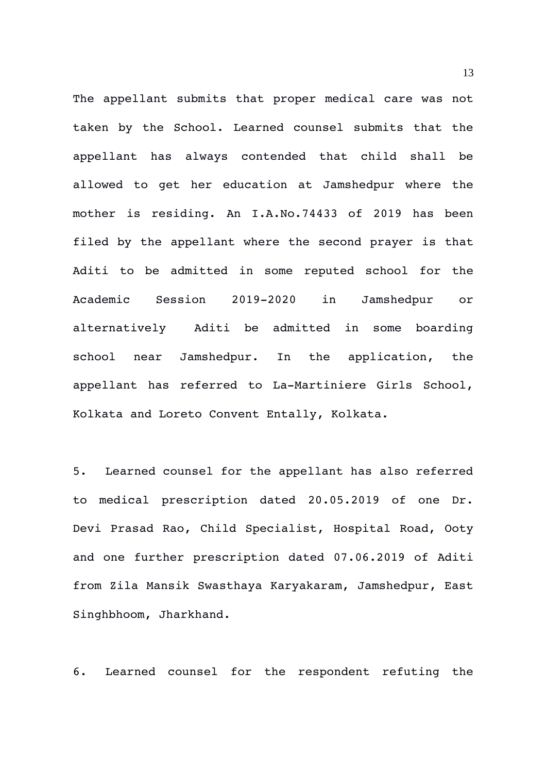The appellant submits that proper medical care was not taken by the School. Learned counsel submits that the appellant has always contended that child shall be allowed to get her education at Jamshedpur where the mother is residing. An I.A.No.74433 of 2019 has been filed by the appellant where the second prayer is that Aditi to be admitted in some reputed school for the Academic Session 2019-2020 in Jamshedpur or alternatively Aditi be admitted in some boarding school near Jamshedpur. In the application, the appellant has referred to La-Martiniere Girls School, Kolkata and Loreto Convent Entally, Kolkata.

5. Learned counsel for the appellant has also referred to medical prescription dated 20.05.2019 of one Dr. Devi Prasad Rao, Child Specialist, Hospital Road, Ooty and one further prescription dated 07.06.2019 of Aditi from Zila Mansik Swasthaya Karyakaram, Jamshedpur, East Singhbhoom, Jharkhand.

6. Learned counsel for the respondent refuting the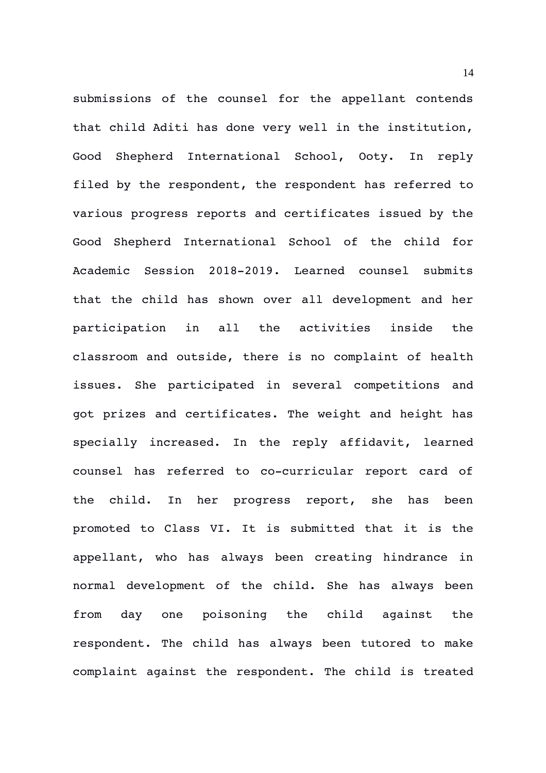submissions of the counsel for the appellant contends that child Aditi has done very well in the institution, Good Shepherd International School, Ooty. In reply filed by the respondent, the respondent has referred to various progress reports and certificates issued by the Good Shepherd International School of the child for Academic Session 2018-2019. Learned counsel submits that the child has shown over all development and her participation in all the activities inside the classroom and outside, there is no complaint of health issues. She participated in several competitions and got prizes and certificates. The weight and height has specially increased. In the reply affidavit, learned counsel has referred to co-curricular report card of the child. In her progress report, she has been promoted to Class VI. It is submitted that it is the appellant, who has always been creating hindrance in normal development of the child. She has always been from day one poisoning the child against the respondent. The child has always been tutored to make complaint against the respondent. The child is treated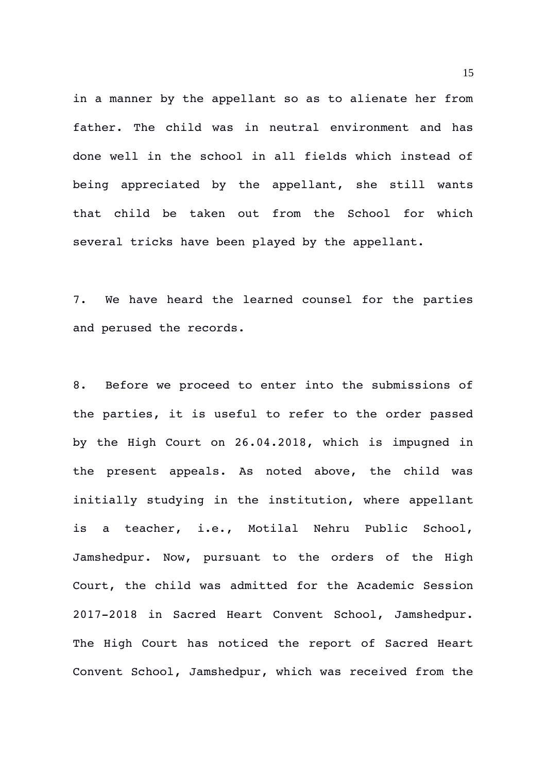in a manner by the appellant so as to alienate her from father. The child was in neutral environment and has done well in the school in all fields which instead of being appreciated by the appellant, she still wants that child be taken out from the School for which several tricks have been played by the appellant.

7. We have heard the learned counsel for the parties and perused the records.

8. Before we proceed to enter into the submissions of the parties, it is useful to refer to the order passed by the High Court on 26.04.2018, which is impugned in the present appeals. As noted above, the child was initially studying in the institution, where appellant is a teacher, i.e., Motilal Nehru Public School, Jamshedpur. Now, pursuant to the orders of the High Court, the child was admitted for the Academic Session 2017-2018 in Sacred Heart Convent School, Jamshedpur. The High Court has noticed the report of Sacred Heart Convent School, Jamshedpur, which was received from the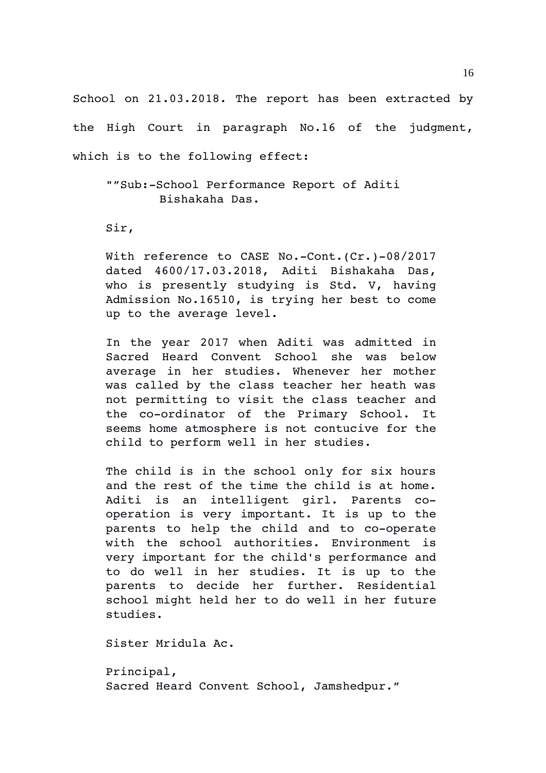School on 21.03.2018. The report has been extracted by the High Court in paragraph No.16 of the judgment, which is to the following effect:

""Sub:-School Performance Report of Aditi Bishakaha Das.

Sir,

With reference to CASE No.-Cont.(Cr.)-08/2017 dated 4600/17.03.2018, Aditi Bishakaha Das, who is presently studying is Std. V, having Admission No.16510, is trying her best to come up to the average level.

In the year 2017 when Aditi was admitted in Sacred Heard Convent School she was below average in her studies. Whenever her mother was called by the class teacher her heath was not permitting to visit the class teacher and the co-ordinator of the Primary School. It seems home atmosphere is not contucive for the child to perform well in her studies.

The child is in the school only for six hours and the rest of the time the child is at home. Aditi is an intelligent girl. Parents cooperation is very important. It is up to the parents to help the child and to co-operate with the school authorities. Environment is very important for the child's performance and to do well in her studies. It is up to the parents to decide her further. Residential school might held her to do well in her future studies.

Sister Mridula Ac.

Principal, Sacred Heard Convent School, Jamshedpur."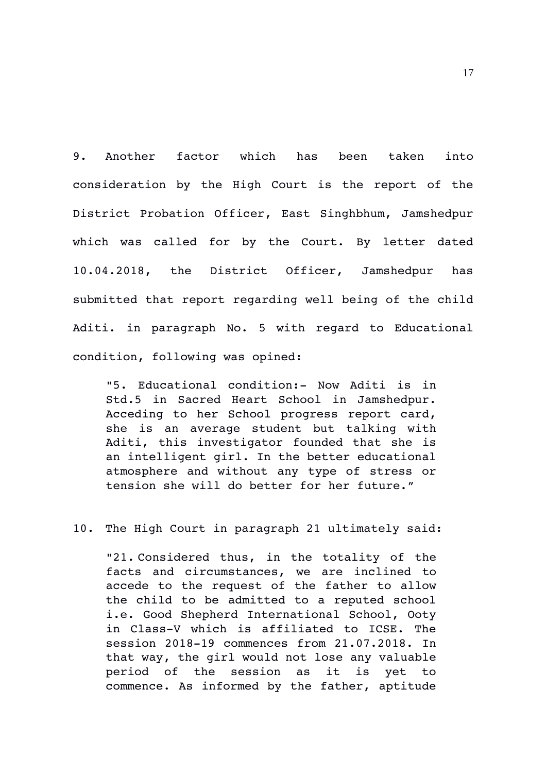9. Another factor which has been taken into consideration by the High Court is the report of the District Probation Officer, East Singhbhum, Jamshedpur which was called for by the Court. By letter dated 10.04.2018, the District Officer, Jamshedpur has submitted that report regarding well being of the child Aditi. in paragraph No. 5 with regard to Educational condition, following was opined:

"5. Educational condition: Now Aditi is in Std.5 in Sacred Heart School in Jamshedpur. Acceding to her School progress report card, she is an average student but talking with Aditi, this investigator founded that she is an intelligent girl. In the better educational atmosphere and without any type of stress or tension she will do better for her future."

10. The High Court in paragraph 21 ultimately said:

"21. Considered thus, in the totality of the facts and circumstances, we are inclined to accede to the request of the father to allow the child to be admitted to a reputed school i.e. Good Shepherd International School, Ooty in Class-V which is affiliated to ICSE. The session 2018-19 commences from 21.07.2018. In that way, the girl would not lose any valuable period of the session as it is yet to commence. As informed by the father, aptitude

17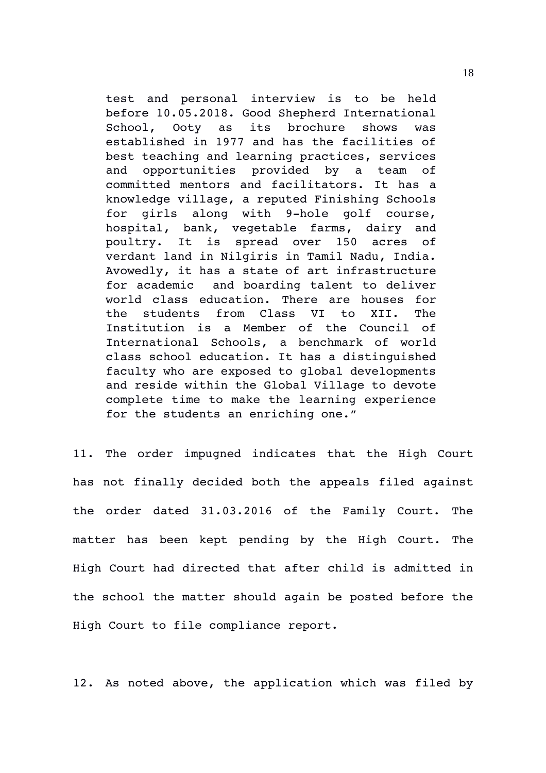test and personal interview is to be held before 10.05.2018. Good Shepherd International School, Ooty as its brochure shows was established in 1977 and has the facilities of best teaching and learning practices, services and opportunities provided by a team of committed mentors and facilitators. It has a knowledge village, a reputed Finishing Schools for qirls along with 9-hole qolf course, hospital, bank, vegetable farms, dairy and poultry. It is spread over 150 acres of verdant land in Nilgiris in Tamil Nadu, India. Avowedly, it has a state of art infrastructure for academic and boarding talent to deliver world class education. There are houses for the students from Class VI to XII. The Institution is a Member of the Council of International Schools, a benchmark of world class school education. It has a distinguished faculty who are exposed to global developments and reside within the Global Village to devote complete time to make the learning experience for the students an enriching one."

11. The order impugned indicates that the High Court has not finally decided both the appeals filed against the order dated 31.03.2016 of the Family Court. The matter has been kept pending by the High Court. The High Court had directed that after child is admitted in the school the matter should again be posted before the High Court to file compliance report.

12. As noted above, the application which was filed by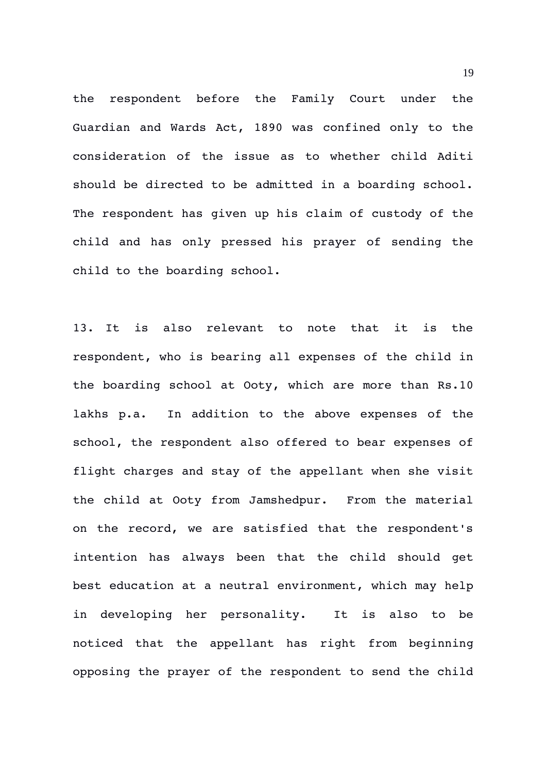the respondent before the Family Court under the Guardian and Wards Act, 1890 was confined only to the consideration of the issue as to whether child Aditi should be directed to be admitted in a boarding school. The respondent has given up his claim of custody of the child and has only pressed his prayer of sending the child to the boarding school.

13. It is also relevant to note that it is the respondent, who is bearing all expenses of the child in the boarding school at Ooty, which are more than Rs.10 lakhs p.a. In addition to the above expenses of the school, the respondent also offered to bear expenses of flight charges and stay of the appellant when she visit the child at Ooty from Jamshedpur. From the material on the record, we are satisfied that the respondent's intention has always been that the child should get best education at a neutral environment, which may help in developing her personality. It is also to be noticed that the appellant has right from beginning opposing the prayer of the respondent to send the child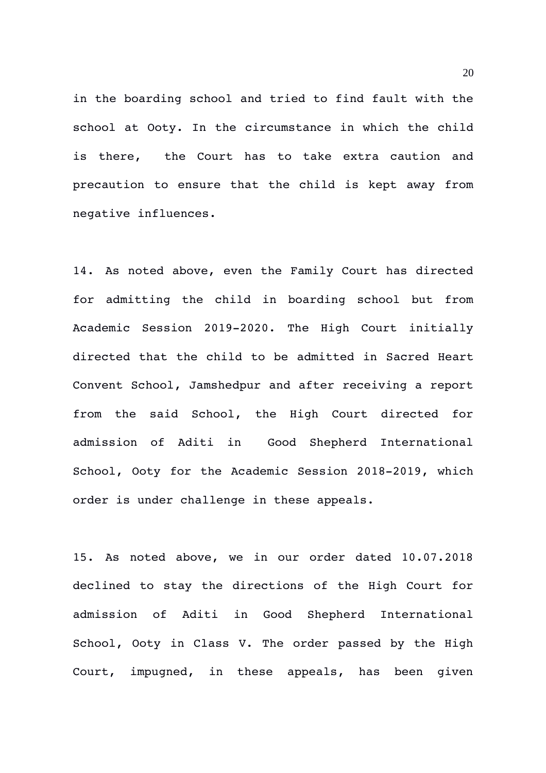in the boarding school and tried to find fault with the school at Ooty. In the circumstance in which the child is there, the Court has to take extra caution and precaution to ensure that the child is kept away from negative influences.

14. As noted above, even the Family Court has directed for admitting the child in boarding school but from Academic Session 2019-2020. The High Court initially directed that the child to be admitted in Sacred Heart Convent School, Jamshedpur and after receiving a report from the said School, the High Court directed for admission of Aditi in Good Shepherd International School, Ooty for the Academic Session 2018-2019, which order is under challenge in these appeals.

15. As noted above, we in our order dated 10.07.2018 declined to stay the directions of the High Court for admission of Aditi in Good Shepherd International School, Ooty in Class V. The order passed by the High Court, impugned, in these appeals, has been given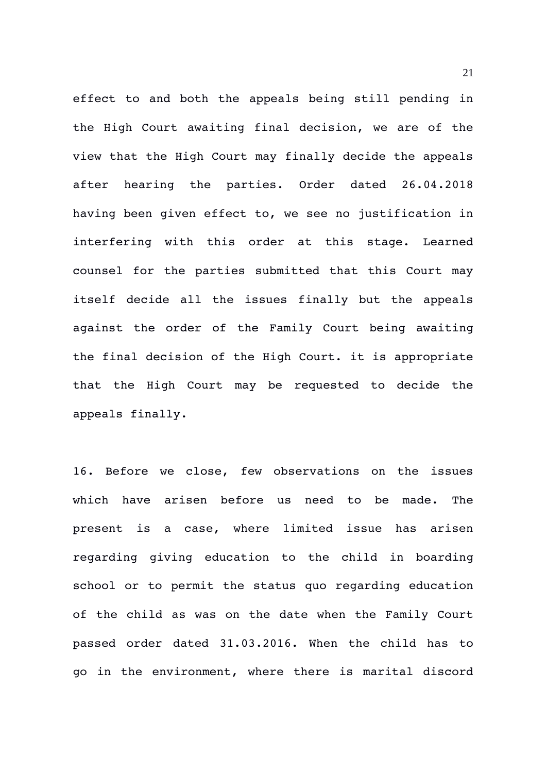effect to and both the appeals being still pending in the High Court awaiting final decision, we are of the view that the High Court may finally decide the appeals after hearing the parties. Order dated 26.04.2018 having been given effect to, we see no justification in interfering with this order at this stage. Learned counsel for the parties submitted that this Court may itself decide all the issues finally but the appeals against the order of the Family Court being awaiting the final decision of the High Court. it is appropriate that the High Court may be requested to decide the appeals finally.

16. Before we close, few observations on the issues which have arisen before us need to be made. The present is a case, where limited issue has arisen regarding qiving education to the child in boarding school or to permit the status quo regarding education of the child as was on the date when the Family Court passed order dated 31.03.2016. When the child has to go in the environment, where there is marital discord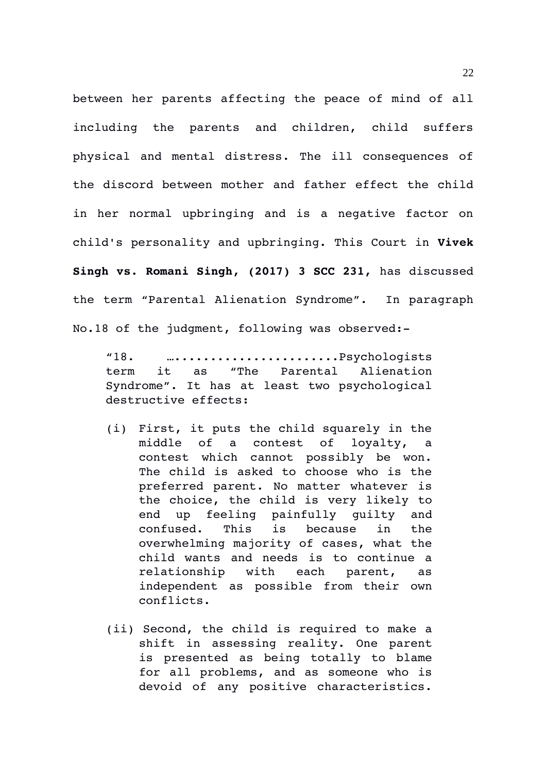between her parents affecting the peace of mind of all including the parents and children, child suffers physical and mental distress. The ill consequences of the discord between mother and father effect the child in her normal upbringing and is a negative factor on child's personality and upbringing. This Court in **Vivek Singh vs. Romani Singh, (2017) 3 SCC 231,** has discussed the term "Parental Alienation Syndrome". In paragraph No.18 of the judgment, following was observed:

"18. ….......................Psychologists term it as "The Parental Alienation Syndrome". It has at least two psychological destructive effects:

- (i) First, it puts the child squarely in the middle of a contest of loyalty, a contest which cannot possibly be won. The child is asked to choose who is the preferred parent. No matter whatever is the choice, the child is very likely to end up feeling painfully guilty and confused. This is because in the overwhelming majority of cases, what the child wants and needs is to continue a relationship with each parent, as independent as possible from their own conflicts.
- (ii) Second, the child is required to make a shift in assessing reality. One parent is presented as being totally to blame for all problems, and as someone who is devoid of any positive characteristics.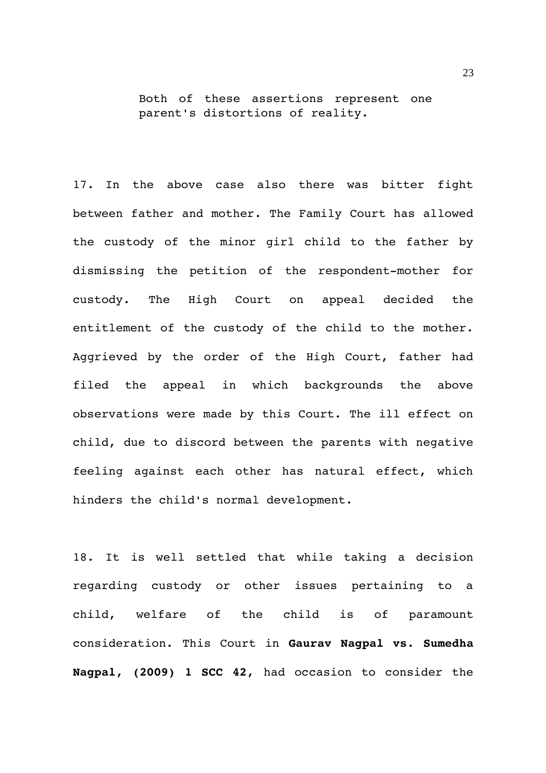Both of these assertions represent one parent's distortions of reality.

17. In the above case also there was bitter fight between father and mother. The Family Court has allowed the custody of the minor girl child to the father by dismissing the petition of the respondent-mother for custody. The High Court on appeal decided the entitlement of the custody of the child to the mother. Aggrieved by the order of the High Court, father had filed the appeal in which backgrounds the above observations were made by this Court. The ill effect on child, due to discord between the parents with negative feeling against each other has natural effect, which hinders the child's normal development.

18. It is well settled that while taking a decision regarding custody or other issues pertaining to a child, welfare of the child is of paramount consideration. This Court in **Gaurav Nagpal vs. Sumedha Nagpal, (2009) 1 SCC 42,** had occasion to consider the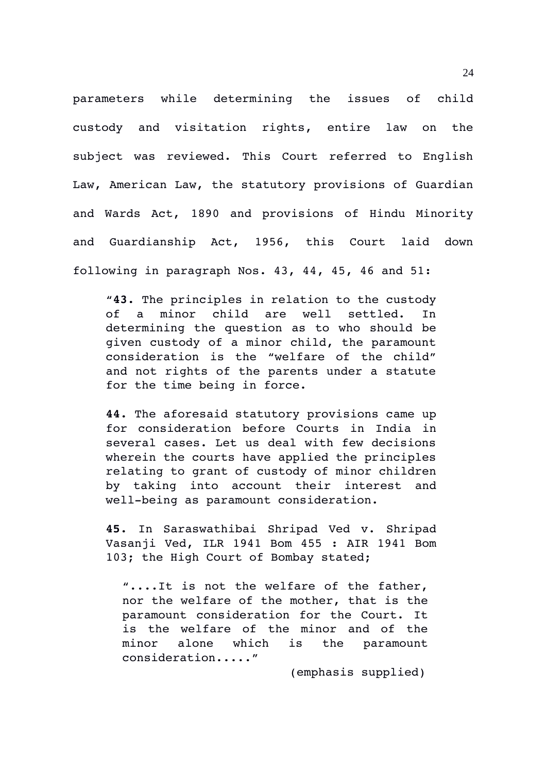parameters while determining the issues of child custody and visitation rights, entire law on the subject was reviewed. This Court referred to English Law, American Law, the statutory provisions of Guardian and Wards Act, 1890 and provisions of Hindu Minority and Guardianship Act, 1956, this Court laid down following in paragraph Nos. 43, 44, 45, 46 and 51:

"**43.** The principles in relation to the custody of a minor child are well settled. In determining the question as to who should be given custody of a minor child, the paramount consideration is the "welfare of the child" and not rights of the parents under a statute for the time being in force.

**44.** The aforesaid statutory provisions came up for consideration before Courts in India in several cases. Let us deal with few decisions wherein the courts have applied the principles relating to grant of custody of minor children by taking into account their interest and well-being as paramount consideration.

**45.** In Saraswathibai Shripad Ved v. Shripad Vasanji Ved, ILR 1941 Bom 455 : AIR 1941 Bom 103; the High Court of Bombay stated;

"....It is not the welfare of the father, nor the welfare of the mother, that is the paramount consideration for the Court. It is the welfare of the minor and of the minor alone which is the paramount consideration....."

(emphasis supplied)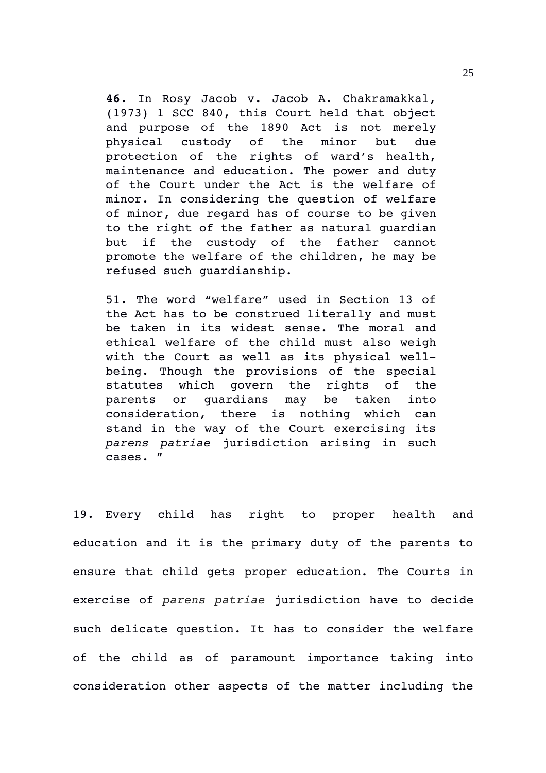**46**. In Rosy Jacob v. Jacob A. Chakramakkal, (1973) 1 SCC 840, this Court held that object and purpose of the 1890 Act is not merely physical custody of the minor but due protection of the rights of ward's health, maintenance and education. The power and duty of the Court under the Act is the welfare of minor. In considering the question of welfare of minor, due regard has of course to be given to the right of the father as natural guardian but if the custody of the father cannot promote the welfare of the children, he may be refused such guardianship.

51. The word "welfare" used in Section 13 of the Act has to be construed literally and must be taken in its widest sense. The moral and ethical welfare of the child must also weigh with the Court as well as its physical wellbeing. Though the provisions of the special statutes which govern the rights of the parents or quardians may be taken into consideration, there is nothing which can stand in the way of the Court exercising its *parens patriae* jurisdiction arising in such cases. "

19. Every child has right to proper health and education and it is the primary duty of the parents to ensure that child gets proper education. The Courts in exercise of *parens patriae* jurisdiction have to decide such delicate question. It has to consider the welfare of the child as of paramount importance taking into consideration other aspects of the matter including the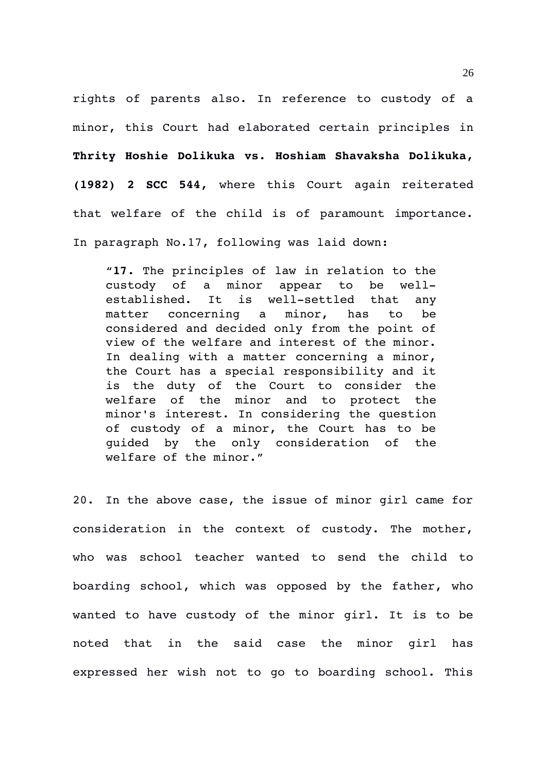rights of parents also. In reference to custody of a minor, this Court had elaborated certain principles in **Thrity Hoshie Dolikuka vs. Hoshiam Shavaksha Dolikuka, (1982) 2 SCC 544,** where this Court again reiterated that welfare of the child is of paramount importance. In paragraph No.17, following was laid down:

"**17.** The principles of law in relation to the custody of a minor appear to be wellestablished. It is well-settled that any matter concerning a minor, has to be considered and decided only from the point of view of the welfare and interest of the minor. In dealing with a matter concerning a minor, the Court has a special responsibility and it is the duty of the Court to consider the welfare of the minor and to protect the minor's interest. In considering the question of custody of a minor, the Court has to be guided by the only consideration of the welfare of the minor."

20. In the above case, the issue of minor girl came for consideration in the context of custody. The mother, who was school teacher wanted to send the child to boarding school, which was opposed by the father, who wanted to have custody of the minor girl. It is to be noted that in the said case the minor girl has expressed her wish not to go to boarding school. This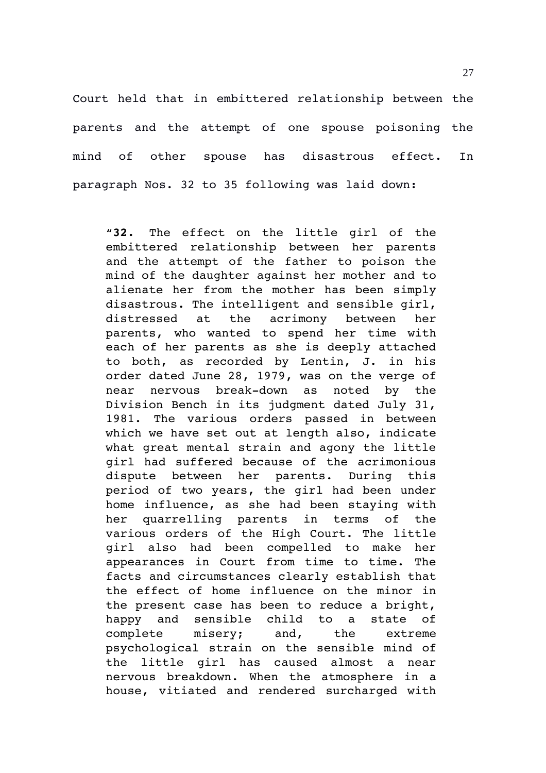Court held that in embittered relationship between the parents and the attempt of one spouse poisoning the mind of other spouse has disastrous effect. In paragraph Nos. 32 to 35 following was laid down:

"**32.** The effect on the little girl of the embittered relationship between her parents and the attempt of the father to poison the mind of the daughter against her mother and to alienate her from the mother has been simply disastrous. The intelligent and sensible girl, distressed at the acrimony between her parents, who wanted to spend her time with each of her parents as she is deeply attached to both, as recorded by Lentin, J. in his order dated June 28, 1979, was on the verge of near nervous break-down as noted by the Division Bench in its judgment dated July 31, 1981. The various orders passed in between which we have set out at length also, indicate what great mental strain and agony the little girl had suffered because of the acrimonious dispute between her parents. During this period of two years, the girl had been under home influence, as she had been staying with her quarrelling parents in terms of the various orders of the High Court. The little girl also had been compelled to make her appearances in Court from time to time. The facts and circumstances clearly establish that the effect of home influence on the minor in the present case has been to reduce a bright, happy and sensible child to a state of complete misery; and, the extreme psychological strain on the sensible mind of the little qirl has caused almost a near nervous breakdown. When the atmosphere in a house, vitiated and rendered surcharged with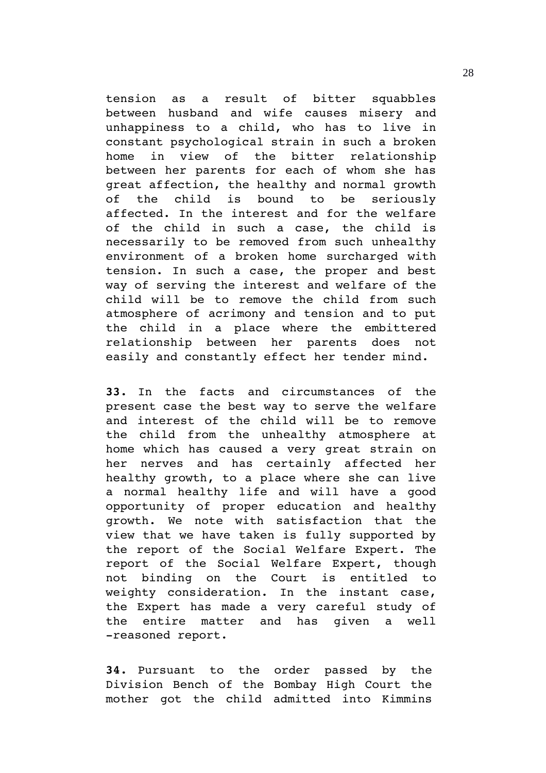tension as a result of bitter squabbles between husband and wife causes misery and unhappiness to a child, who has to live in constant psychological strain in such a broken home in view of the bitter relationship between her parents for each of whom she has great affection, the healthy and normal growth of the child is bound to be seriously affected. In the interest and for the welfare of the child in such a case, the child is necessarily to be removed from such unhealthy environment of a broken home surcharged with tension. In such a case, the proper and best way of serving the interest and welfare of the child will be to remove the child from such atmosphere of acrimony and tension and to put the child in a place where the embittered relationship between her parents does not easily and constantly effect her tender mind.

**33.** In the facts and circumstances of the present case the best way to serve the welfare and interest of the child will be to remove the child from the unhealthy atmosphere at home which has caused a very great strain on her nerves and has certainly affected her healthy growth, to a place where she can live a normal healthy life and will have a good opportunity of proper education and healthy growth. We note with satisfaction that the view that we have taken is fully supported by the report of the Social Welfare Expert. The report of the Social Welfare Expert, though not binding on the Court is entitled to weighty consideration. In the instant case, the Expert has made a very careful study of the entire matter and has given a well -reasoned report.

**34.** Pursuant to the order passed by the Division Bench of the Bombay High Court the mother got the child admitted into Kimmins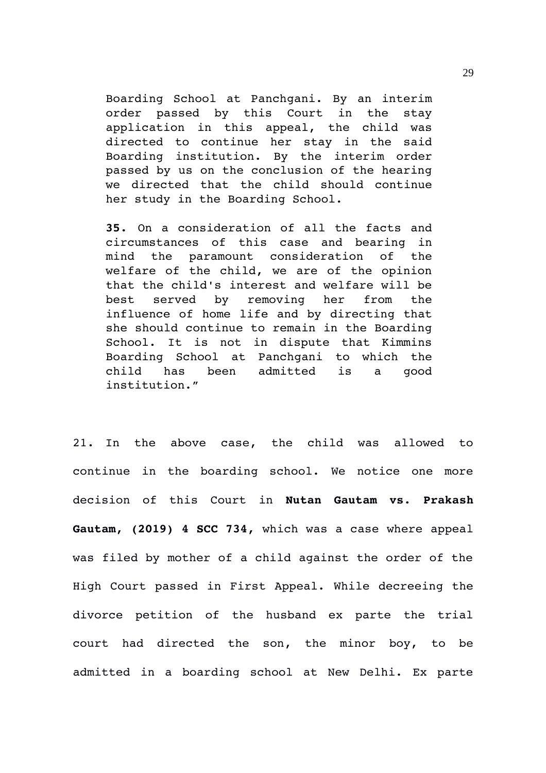Boarding School at Panchgani. By an interim order passed by this Court in the stay application in this appeal, the child was directed to continue her stay in the said Boarding institution. By the interim order passed by us on the conclusion of the hearing we directed that the child should continue her study in the Boarding School.

**35.** On a consideration of all the facts and circumstances of this case and bearing in mind the paramount consideration of the welfare of the child, we are of the opinion that the child's interest and welfare will be best served by removing her from the influence of home life and by directing that she should continue to remain in the Boarding School. It is not in dispute that Kimmins Boarding School at Panchgani to which the child has been admitted is a good institution."

21. In the above case, the child was allowed to continue in the boarding school. We notice one more decision of this Court in **Nutan Gautam vs. Prakash Gautam, (2019) 4 SCC 734,** which was a case where appeal was filed by mother of a child against the order of the High Court passed in First Appeal. While decreeing the divorce petition of the husband ex parte the trial court had directed the son, the minor boy, to be admitted in a boarding school at New Delhi. Ex parte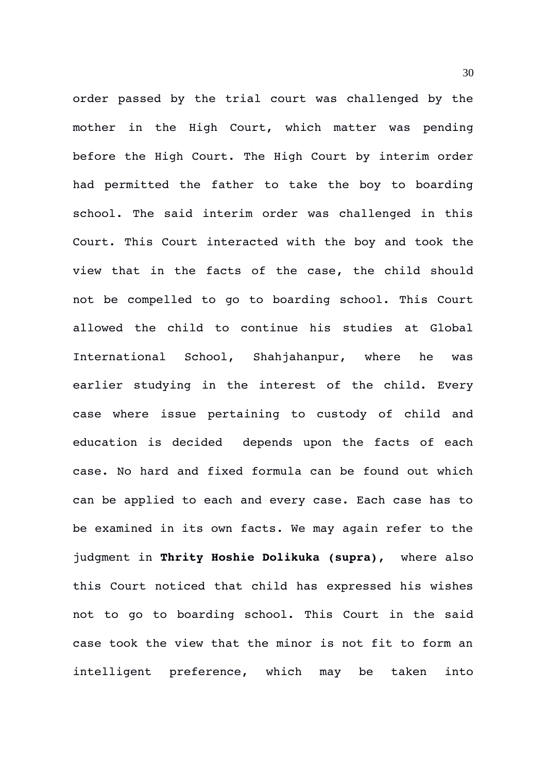order passed by the trial court was challenged by the mother in the High Court, which matter was pending before the High Court. The High Court by interim order had permitted the father to take the boy to boarding school. The said interim order was challenged in this Court. This Court interacted with the boy and took the view that in the facts of the case, the child should not be compelled to go to boarding school. This Court allowed the child to continue his studies at Global International School, Shahjahanpur, where he was earlier studying in the interest of the child. Every case where issue pertaining to custody of child and education is decided depends upon the facts of each case. No hard and fixed formula can be found out which can be applied to each and every case. Each case has to be examined in its own facts. We may again refer to the judgment in **Thrity Hoshie Dolikuka (supra),**  where also this Court noticed that child has expressed his wishes not to go to boarding school. This Court in the said case took the view that the minor is not fit to form an intelligent preference, which may be taken into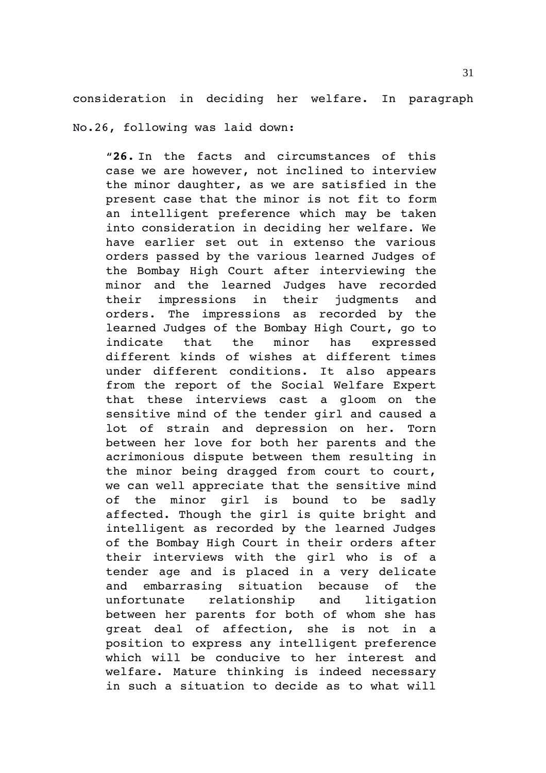consideration in deciding her welfare. In paragraph

No.26, following was laid down:

"**26.** In the facts and circumstances of this case we are however, not inclined to interview the minor daughter, as we are satisfied in the present case that the minor is not fit to form an intelligent preference which may be taken into consideration in deciding her welfare. We have earlier set out in extenso the various orders passed by the various learned Judges of the Bombay High Court after interviewing the minor and the learned Judges have recorded their impressions in their judgments and orders. The impressions as recorded by the learned Judges of the Bombay High Court, go to indicate that the minor has expressed different kinds of wishes at different times under different conditions. It also appears from the report of the Social Welfare Expert that these interviews cast a gloom on the sensitive mind of the tender girl and caused a lot of strain and depression on her. Torn between her love for both her parents and the acrimonious dispute between them resulting in the minor being dragged from court to court, we can well appreciate that the sensitive mind of the minor girl is bound to be sadly affected. Though the girl is quite bright and intelligent as recorded by the learned Judges of the Bombay High Court in their orders after their interviews with the girl who is of a tender age and is placed in a very delicate and embarrasing situation because of the unfortunate relationship and litigation between her parents for both of whom she has great deal of affection, she is not in a position to express any intelligent preference which will be conducive to her interest and welfare. Mature thinking is indeed necessary in such a situation to decide as to what will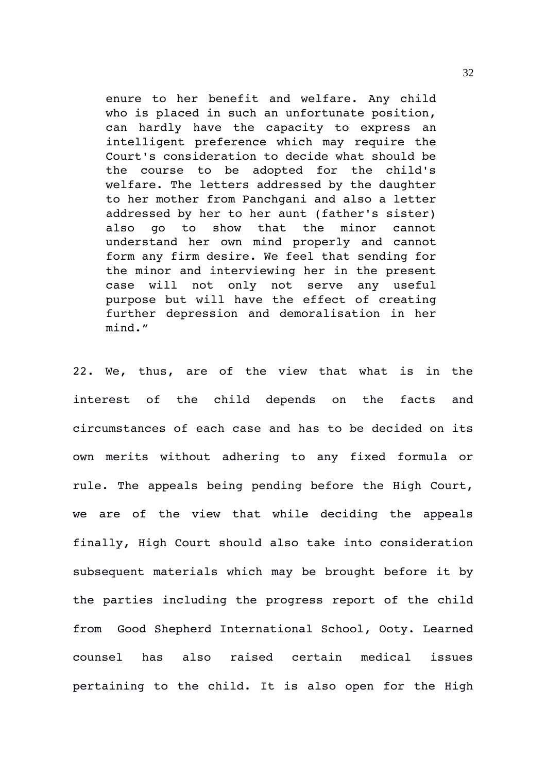enure to her benefit and welfare. Any child who is placed in such an unfortunate position, can hardly have the capacity to express an intelligent preference which may require the Court's consideration to decide what should be the course to be adopted for the child's welfare. The letters addressed by the daughter to her mother from Panchgani and also a letter addressed by her to her aunt (father's sister) also go to show that the minor cannot understand her own mind properly and cannot form any firm desire. We feel that sending for the minor and interviewing her in the present case will not only not serve any useful purpose but will have the effect of creating further depression and demoralisation in her mind."

22. We, thus, are of the view that what is in the interest of the child depends on the facts and circumstances of each case and has to be decided on its own merits without adhering to any fixed formula or rule. The appeals being pending before the High Court, we are of the view that while deciding the appeals finally, High Court should also take into consideration subsequent materials which may be brought before it by the parties including the progress report of the child from Good Shepherd International School, Ooty. Learned counsel has also raised certain medical issues pertaining to the child. It is also open for the High

32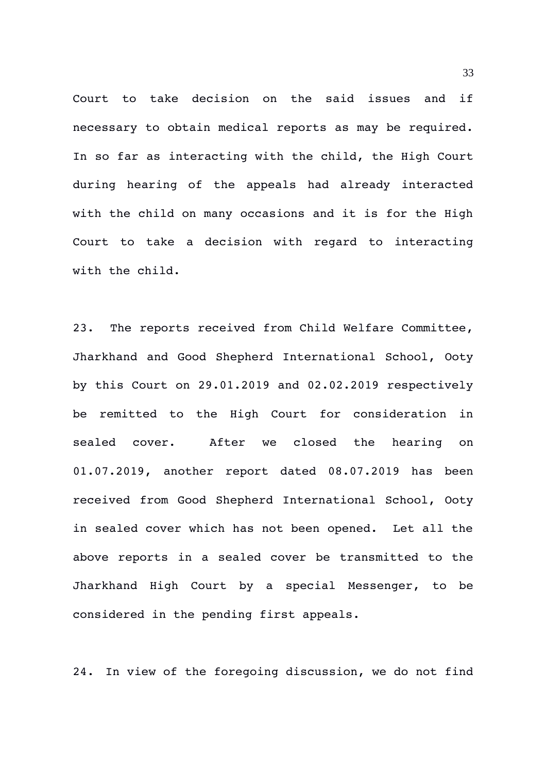Court to take decision on the said issues and if necessary to obtain medical reports as may be required. In so far as interacting with the child, the High Court during hearing of the appeals had already interacted with the child on many occasions and it is for the High Court to take a decision with regard to interacting with the child.

23. The reports received from Child Welfare Committee, Jharkhand and Good Shepherd International School, Ooty by this Court on 29.01.2019 and 02.02.2019 respectively be remitted to the High Court for consideration in sealed cover. After we closed the hearing on 01.07.2019, another report dated 08.07.2019 has been received from Good Shepherd International School, Ooty in sealed cover which has not been opened. Let all the above reports in a sealed cover be transmitted to the Jharkhand High Court by a special Messenger, to be considered in the pending first appeals.

24. In view of the foregoing discussion, we do not find